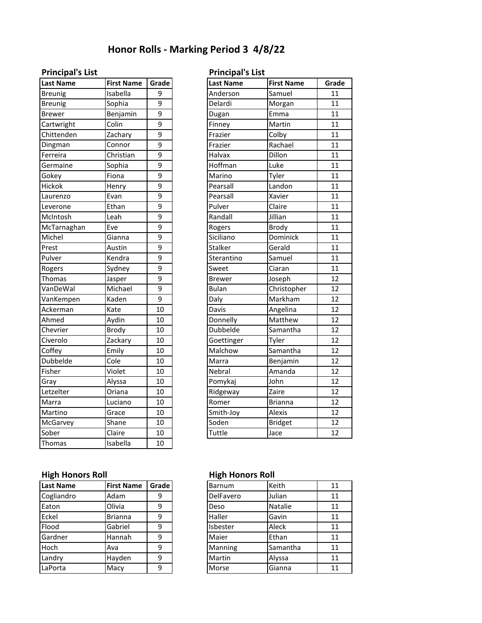# **Honor Rolls - Marking Period 3 4/8/22**

| <b>Last Name</b> | <b>First Name</b> | Grade          | <b>Last Name</b> | <b>First Name</b> | Grad |
|------------------|-------------------|----------------|------------------|-------------------|------|
| <b>Breunig</b>   | Isabella          | 9              | Anderson         | Samuel            | 11   |
| <b>Breunig</b>   | Sophia            | 9              | Delardi          | Morgan            | 11   |
| <b>Brewer</b>    | Benjamin          | 9              | Dugan            | Emma              | 11   |
| Cartwright       | Colin             | 9              | Finney           | Martin            | 11   |
| Chittenden       | Zachary           | 9              | Frazier          | Colby             | 11   |
| Dingman          | Connor            | 9              | Frazier          | Rachael           | 11   |
| Ferreira         | Christian         | 9              | Halvax           | Dillon            | 11   |
| Germaine         | Sophia            | 9              | Hoffman          | Luke              | 11   |
| Gokey            | Fiona             | 9              | Marino           | Tyler             | 11   |
| Hickok           | Henry             | 9              | Pearsall         | Landon            | 11   |
| Laurenzo         | Evan              | 9              | Pearsall         | Xavier            | 11   |
| Leverone         | Ethan             | 9              | Pulver           | Claire            | 11   |
| McIntosh         | Leah              | $\overline{9}$ | Randall          | Jillian           | 11   |
| McTarnaghan      | Eve               | 9              | Rogers           | <b>Brody</b>      | 11   |
| Michel           | Gianna            | 9              | Siciliano        | Dominick          | 11   |
| Prest            | Austin            | 9              | Stalker          | Gerald            | 11   |
| Pulver           | Kendra            | 9              | Sterantino       | Samuel            | 11   |
| Rogers           | Sydney            | 9              | Sweet            | Ciaran            | 11   |
| Thomas           | Jasper            | 9              | <b>Brewer</b>    | Joseph            | 12   |
| VanDeWal         | Michael           | 9              | <b>Bulan</b>     | Christopher       | 12   |
| VanKempen        | Kaden             | 9              | Daly             | Markham           | 12   |
| Ackerman         | Kate              | 10             | Davis            | Angelina          | 12   |
| Ahmed            | Aydin             | 10             | Donnelly         | Matthew           | 12   |
| Chevrier         | <b>Brody</b>      | 10             | Dubbelde         | Samantha          | 12   |
| Civerolo         | Zackary           | 10             | Goettinger       | Tyler             | 12   |
| Coffey           | Emily             | 10             | Malchow          | Samantha          | 12   |
| Dubbelde         | Cole              | 10             | Marra            | Benjamin          | 12   |
| Fisher           | Violet            | 10             | Nebral           | Amanda            | 12   |
| Gray             | Alyssa            | 10             | Pomykaj          | John              | 12   |
| Letzelter        | Oriana            | 10             | Ridgeway         | Zaire             | 12   |
| Marra            | Luciano           | 10             | Romer            | <b>Brianna</b>    | 12   |
| Martino          | Grace             | 10             | Smith-Joy        | Alexis            | 12   |
| McGarvey         | Shane             | 10             | Soden            | <b>Bridget</b>    | 12   |
| Sober            | Claire            | 10             | Tuttle           | Jace              | 12   |
| Thomas           | Isabella          | 10             |                  |                   |      |

### **Principal's List Principal's List**

| <b>Last Name</b> | <b>First Name</b> | Grade          |
|------------------|-------------------|----------------|
| <b>Breunig</b>   | Isabella          | 9              |
| <b>Breunig</b>   | Sophia            | 9              |
| <b>Brewer</b>    | Benjamin          | 9              |
| Cartwright       | Colin             | 9              |
| Chittenden       | Zachary           | 9              |
| Dingman          | Connor            | $\overline{9}$ |
| Ferreira         | Christian         | 9              |
| Germaine         | Sophia            | 9              |
| Gokey            | Fiona             | 9              |
| Hickok           | Henry             | 9              |
| Laurenzo         | Evan              | 9              |
| Leverone         | Ethan             | 9              |
| McIntosh         | Leah              | $\overline{9}$ |
| McTarnaghan      | Eve               | $\overline{9}$ |
| Michel           | Gianna            | 9              |
| Prest            | Austin            | 9              |
| Pulver           | Kendra            | 9              |
| Rogers           | Sydney            | 9              |
| Thomas           | Jasper            | 9              |
| VanDeWal         | Michael           | 9              |
| VanKempen        | Kaden             | 9              |
| Ackerman         | Kate              | 10             |
| Ahmed            | Aydin             | 10             |
| Chevrier         | <b>Brody</b>      | 10             |
| Civerolo         | Zackary           | 10             |
| Coffey           | Emily             | 10             |
| Dubbelde         | Cole              | 10             |
| Fisher           | Violet            | 10             |
| Gray             | Alyssa            | 10             |
| Letzelter        | Oriana            | 10             |
| Marra            | Luciano           | 10             |
| Martino          | Grace             | 10             |
| McGarvey         | Shane             | 10             |
| Sober            | Claire            | 10             |
|                  |                   |                |

## **High Honors Roll High Honors Roll**

| <b>Last Name</b> | <b>First Name</b> | Grade |
|------------------|-------------------|-------|
| Cogliandro       | Adam              | 9     |
| Eaton            | Olivia            | 9     |
| Eckel            | <b>Brianna</b>    | 9     |
| Flood            | Gabriel           | 9     |
| Gardner          | Hannah            | 9     |
| Hoch             | Ava               | 9     |
| Landry           | Hayden            | 9     |
| LaPorta          | Macy              | 9     |

| Barnum    | Keith    | 11 |
|-----------|----------|----|
| DelFavero | Julian   | 11 |
| Deso      | Natalie  | 11 |
| Haller    | Gavin    | 11 |
| Isbester  | Aleck    | 11 |
| Maier     | Ethan    | 11 |
| Manning   | Samantha | 11 |
| Martin    | Alyssa   | 11 |
| Morse     | Gianna   | 11 |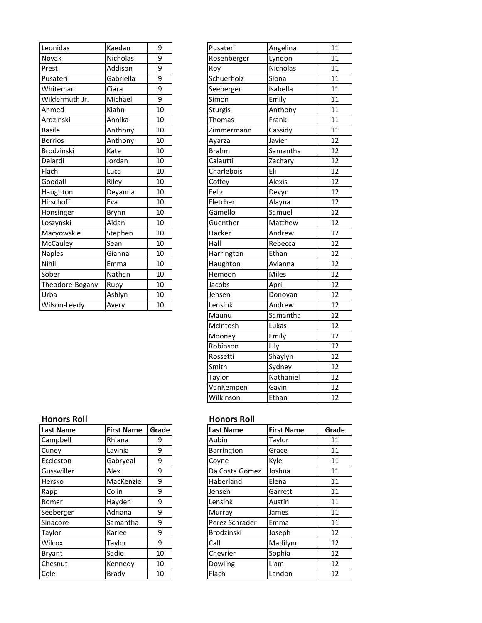| Leonidas          | Kaedan    | 9  | Pusateri       | Angelina | 11 |
|-------------------|-----------|----|----------------|----------|----|
| Novak             | Nicholas  | 9  | Rosenberger    | Lyndon   | 11 |
| Prest             | Addison   | 9  | Roy            | Nicholas | 11 |
| Pusateri          | Gabriella | 9  | Schuerholz     | Siona    | 11 |
| Whiteman          | Ciara     | 9  | Seeberger      | Isabella | 11 |
| Wildermuth Jr.    | Michael   | 9  | Simon          | Emily    | 11 |
| Ahmed             | Kiahn     | 10 | <b>Sturgis</b> | Anthony  | 11 |
| Ardzinski         | Annika    | 10 | Thomas         | Frank    | 11 |
| <b>Basile</b>     | Anthony   | 10 | Zimmermann     | Cassidy  | 11 |
| <b>Berrios</b>    | Anthony   | 10 | Ayarza         | Javier   | 12 |
| <b>Brodzinski</b> | Kate      | 10 | <b>Brahm</b>   | Samantha | 12 |
| Delardi           | Jordan    | 10 | Calautti       | Zachary  | 12 |
| Flach             | Luca      | 10 | Charlebois     | Eli      | 12 |
| Goodall           | Riley     | 10 | Coffey         | Alexis   | 12 |
| Haughton          | Deyanna   | 10 | Feliz          | Devyn    | 12 |
| Hirschoff         | Eva       | 10 | Fletcher       | Alayna   | 12 |
| Honsinger         | Brynn     | 10 | Gamello        | Samuel   | 12 |
| Loszynski         | Aidan     | 10 | Guenther       | Matthew  | 12 |
| Macyowskie        | Stephen   | 10 | Hacker         | Andrew   | 12 |
| McCauley          | Sean      | 10 | Hall           | Rebecca  | 12 |
| <b>Naples</b>     | Gianna    | 10 | Harrington     | Ethan    | 12 |
| Nihill            | Emma      | 10 | Haughton       | Avianna  | 12 |
| Sober             | Nathan    | 10 | Hemeon         | Miles    | 12 |
| Theodore-Begany   | Ruby      | 10 | Jacobs         | April    | 12 |
| Urba              | Ashlyn    | 10 | Jensen         | Donovan  | 12 |
| Wilson-Leedy      | Avery     | 10 | Lensink        | Andrew   | 12 |

| Pusateri     | Angelina     | 11              |
|--------------|--------------|-----------------|
| Rosenberger  | Lyndon       | 11              |
| Roy          | Nicholas     | 11              |
| Schuerholz   | Siona        | 11              |
| Seeberger    | Isabella     | 11              |
| Simon        | Emily        | 11              |
| Sturgis      | _<br>Anthony | 11              |
| Thomas       | Frank        | 11              |
| Zimmermann   | Cassidy      | 11              |
| Ayarza       | Javier       | 12              |
| <b>Brahm</b> | Samantha     | 12              |
| Calautti     | Zachary      | 12              |
| Charlebois   | .<br>Eli     | 12              |
| Coffey       | Alexis       | 12              |
| Feliz        | Devyn        | 12              |
| Fletcher     | Alayna       | 12              |
| Gamello      | Samuel       | 12              |
| Guenther     | Matthew      | 12              |
| Hacker       | _<br>Andrew  | 12              |
| Hall         | Rebecca      | 12              |
| Harrington   | Ethan        | 12              |
| Haughton     | Avianna      | 12              |
| Hemeon       | <b>Miles</b> | 12              |
| Jacobs       | April        | 12              |
| Jensen       | Donovan      | 12              |
| Lensink      | Andrew       | 12              |
| Maunu        | Samantha     | $\overline{12}$ |
| McIntosh     | Lukas        | 12              |
| Mooney       | Emily        | 12              |
| Robinson     | Lily         | 12              |
| Rossetti     | .<br>Shaylyn | 12              |
| Smith        | Sydney       | 12              |
| Taylor       | Nathaniel    | 12              |
| VanKempen    | Gavin        | 12              |
| Wilkinson    | Ethan        | 12              |

### **Honors Roll Honors Roll**

| Campbell<br>Rhiana<br>Aubin<br>Taylor<br>9<br>9<br>Barrington<br>Grace<br>Cuney<br>Lavinia<br>Eccleston<br>9<br>Kyle<br>Gabryeal<br>Covne<br>Gusswiller<br>Alex<br>9<br>Da Costa Gomez<br>Joshua<br>9<br>MacKenzie<br>Haberland<br>Elena<br>Hersko | Grad |
|----------------------------------------------------------------------------------------------------------------------------------------------------------------------------------------------------------------------------------------------------|------|
|                                                                                                                                                                                                                                                    |      |
|                                                                                                                                                                                                                                                    |      |
|                                                                                                                                                                                                                                                    |      |
|                                                                                                                                                                                                                                                    |      |
|                                                                                                                                                                                                                                                    |      |
| Colin<br>9<br>Garrett<br>Rapp<br>Jensen                                                                                                                                                                                                            |      |
| 9<br>Hayden<br>Romer<br>Lensink<br>Austin                                                                                                                                                                                                          |      |
| Adriana<br>9<br>Seeberger<br>Murray<br>James                                                                                                                                                                                                       |      |
| Samantha<br>9<br>Perez Schrader<br>Sinacore<br>Emma                                                                                                                                                                                                |      |
| Brodzinski<br>Karlee<br>9<br>Taylor<br>Joseph                                                                                                                                                                                                      |      |
| Wilcox<br>Madilynn<br>9<br>Call<br>Taylor                                                                                                                                                                                                          |      |
| Sadie<br>Chevrier<br>Sophia<br>10<br><b>Bryant</b>                                                                                                                                                                                                 |      |
| Chesnut<br>Kennedy<br>Dowling<br>Liam<br>10                                                                                                                                                                                                        |      |
| Cole<br>Flach<br>Landon<br><b>Brady</b><br>10                                                                                                                                                                                                      |      |

| <b>Last Name</b> | <b>First Name</b> | Grade | <b>Last Name</b> | <b>First Name</b> | Grade |
|------------------|-------------------|-------|------------------|-------------------|-------|
| Campbell         | Rhiana            | 9     | Aubin            | Taylor            | 11    |
| Cuney            | Lavinia           | 9     | Barrington       | Grace             | 11    |
| Eccleston        | Gabryeal          | 9     | Covne            | Kyle              | 11    |
| Gusswiller       | Alex              | 9     | Da Costa Gomez   | Joshua            | 11    |
| Hersko           | MacKenzie         | 9     | Haberland        | Elena             | 11    |
| Rapp             | Colin             | 9     | Jensen           | Garrett           | 11    |
| Romer            | Hayden            | 9     | Lensink          | Austin            | 11    |
| Seeberger        | Adriana           | 9     | Murray           | James             | 11    |
| Sinacore         | Samantha          | 9     | Perez Schrader   | Emma              | 11    |
| Taylor           | Karlee            | 9     | Brodzinski       | Joseph            | 12    |
| Wilcox           | Taylor            | 9     | Call             | Madilynn          | 12    |
| Bryant           | Sadie             | 10    | Chevrier         | Sophia            | 12    |
| Chesnut          | Kennedy           | 10    | Dowling          | Liam              | 12    |
| Cole             | <b>Brady</b>      | 10    | Flach            | Landon            | 12    |
|                  |                   |       |                  |                   |       |